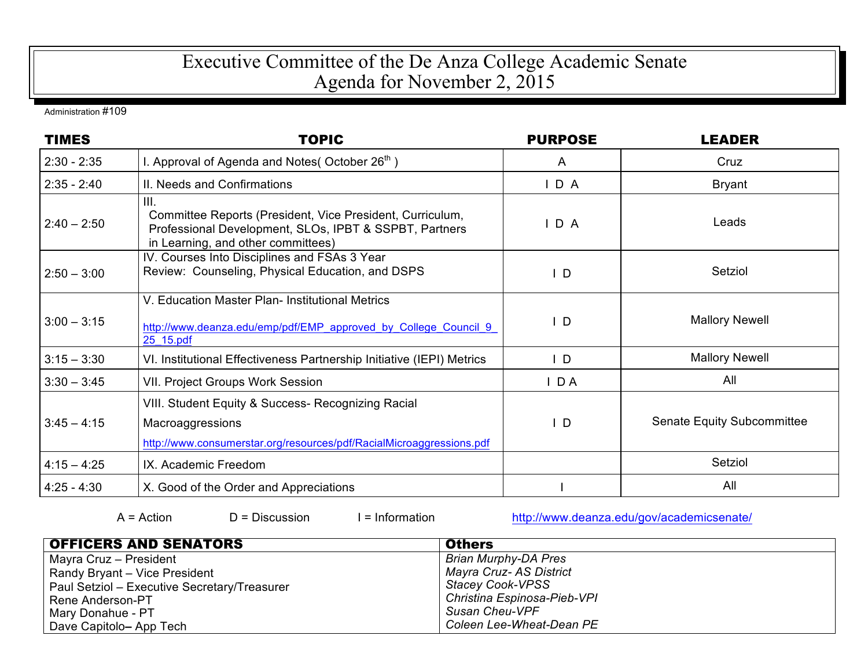## Executive Committee of the De Anza College Academic Senate Agenda for November 2, 2015

Administration #109

| <b>TIMES</b>  | <b>TOPIC</b>                                                                                                                                                      | <b>PURPOSE</b> | <b>LEADER</b>              |
|---------------|-------------------------------------------------------------------------------------------------------------------------------------------------------------------|----------------|----------------------------|
| $2:30 - 2:35$ | I. Approval of Agenda and Notes (October $26th$ )                                                                                                                 | A              | Cruz                       |
| $2:35 - 2:40$ | II. Needs and Confirmations                                                                                                                                       | $I$ D A        | <b>Bryant</b>              |
| $2:40 - 2:50$ | III.<br>Committee Reports (President, Vice President, Curriculum,<br>Professional Development, SLOs, IPBT & SSPBT, Partners<br>in Learning, and other committees) | D A            | Leads                      |
| $2:50 - 3:00$ | IV. Courses Into Disciplines and FSAs 3 Year<br>Review: Counseling, Physical Education, and DSPS                                                                  | ID.            | Setziol                    |
| $3:00 - 3:15$ | V. Education Master Plan- Institutional Metrics<br>http://www.deanza.edu/emp/pdf/EMP_approved_by_College_Council_9_<br>25_15.pdf                                  | $\mathsf{L}$   | <b>Mallory Newell</b>      |
| $3:15 - 3:30$ | VI. Institutional Effectiveness Partnership Initiative (IEPI) Metrics                                                                                             | $\mathsf{L}$   | <b>Mallory Newell</b>      |
| $3:30 - 3:45$ | <b>VII. Project Groups Work Session</b>                                                                                                                           | $I$ DA         | All                        |
| $3:45 - 4:15$ | VIII. Student Equity & Success- Recognizing Racial<br>Macroaggressions<br>http://www.consumerstar.org/resources/pdf/RacialMicroaggressions.pdf                    | $\mathsf{L}$   | Senate Equity Subcommittee |
| $4:15 - 4:25$ | IX. Academic Freedom                                                                                                                                              |                | Setziol                    |
| $4:25 - 4:30$ | X. Good of the Order and Appreciations                                                                                                                            |                | All                        |

A = Action D = Discussion I = Information http://www.deanza.edu/gov/academicsenate/

| <b>OFFICERS AND SENATORS</b>                 | <b>Others</b>               |
|----------------------------------------------|-----------------------------|
| Mayra Cruz – President                       | <b>Brian Murphy-DA Pres</b> |
| Randy Bryant - Vice President                | Mayra Cruz- AS District     |
| Paul Setziol - Executive Secretary/Treasurer | <b>Stacey Cook-VPSS</b>     |
| Rene Anderson-PT                             | Christina Espinosa-Pieb-VPI |
| Mary Donahue - PT                            | <b>Susan Cheu-VPF</b>       |
| Dave Capitolo- App Tech                      | Coleen Lee-Wheat-Dean PE    |